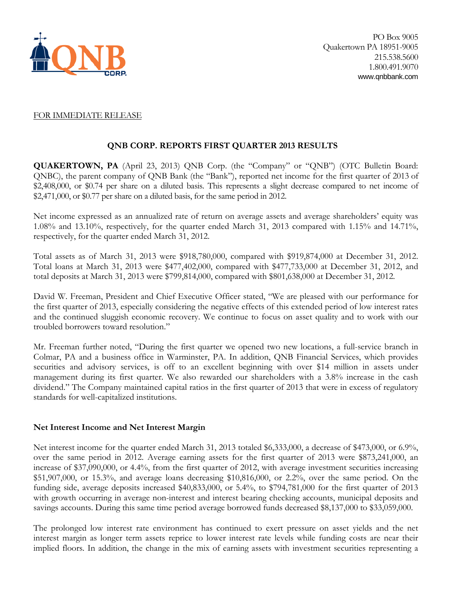

#### FOR IMMEDIATE RELEASE

## **QNB CORP. REPORTS FIRST QUARTER 2013 RESULTS**

**QUAKERTOWN, PA** (April 23, 2013) QNB Corp. (the "Company" or "QNB") (OTC Bulletin Board: QNBC), the parent company of QNB Bank (the "Bank"), reported net income for the first quarter of 2013 of \$2,408,000, or \$0.74 per share on a diluted basis. This represents a slight decrease compared to net income of \$2,471,000, or \$0.77 per share on a diluted basis, for the same period in 2012.

Net income expressed as an annualized rate of return on average assets and average shareholders' equity was 1.08% and 13.10%, respectively, for the quarter ended March 31, 2013 compared with 1.15% and 14.71%, respectively, for the quarter ended March 31, 2012.

Total assets as of March 31, 2013 were \$918,780,000, compared with \$919,874,000 at December 31, 2012. Total loans at March 31, 2013 were \$477,402,000, compared with \$477,733,000 at December 31, 2012, and total deposits at March 31, 2013 were \$799,814,000, compared with \$801,638,000 at December 31, 2012.

David W. Freeman, President and Chief Executive Officer stated, "We are pleased with our performance for the first quarter of 2013, especially considering the negative effects of this extended period of low interest rates and the continued sluggish economic recovery. We continue to focus on asset quality and to work with our troubled borrowers toward resolution."

Mr. Freeman further noted, "During the first quarter we opened two new locations, a full-service branch in Colmar, PA and a business office in Warminster, PA. In addition, QNB Financial Services, which provides securities and advisory services, is off to an excellent beginning with over \$14 million in assets under management during its first quarter. We also rewarded our shareholders with a 3.8% increase in the cash dividend." The Company maintained capital ratios in the first quarter of 2013 that were in excess of regulatory standards for well-capitalized institutions.

## **Net Interest Income and Net Interest Margin**

Net interest income for the quarter ended March 31, 2013 totaled \$6,333,000, a decrease of \$473,000, or 6.9%, over the same period in 2012. Average earning assets for the first quarter of 2013 were \$873,241,000, an increase of \$37,090,000, or 4.4%, from the first quarter of 2012, with average investment securities increasing \$51,907,000, or 15.3%, and average loans decreasing \$10,816,000, or 2.2%, over the same period. On the funding side, average deposits increased \$40,833,000, or 5.4%, to \$794,781,000 for the first quarter of 2013 with growth occurring in average non-interest and interest bearing checking accounts, municipal deposits and savings accounts. During this same time period average borrowed funds decreased \$8,137,000 to \$33,059,000.

The prolonged low interest rate environment has continued to exert pressure on asset yields and the net interest margin as longer term assets reprice to lower interest rate levels while funding costs are near their implied floors. In addition, the change in the mix of earning assets with investment securities representing a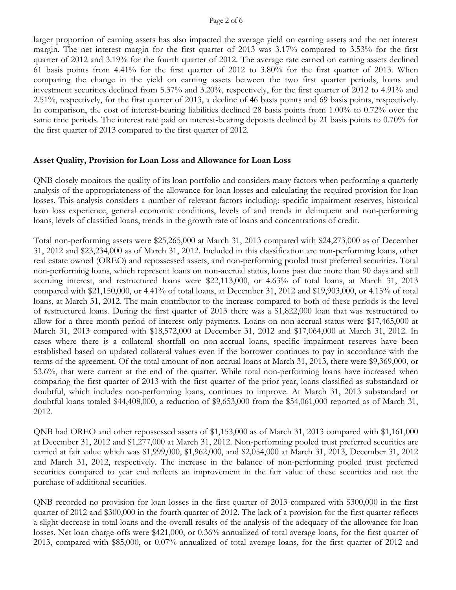#### Page 2 of 6

larger proportion of earning assets has also impacted the average yield on earning assets and the net interest margin. The net interest margin for the first quarter of 2013 was 3.17% compared to 3.53% for the first quarter of 2012 and 3.19% for the fourth quarter of 2012. The average rate earned on earning assets declined 61 basis points from 4.41% for the first quarter of 2012 to 3.80% for the first quarter of 2013. When comparing the change in the yield on earning assets between the two first quarter periods, loans and investment securities declined from 5.37% and 3.20%, respectively, for the first quarter of 2012 to 4.91% and 2.51%, respectively, for the first quarter of 2013, a decline of 46 basis points and 69 basis points, respectively. In comparison, the cost of interest-bearing liabilities declined 28 basis points from 1.00% to 0.72% over the same time periods. The interest rate paid on interest-bearing deposits declined by 21 basis points to 0.70% for the first quarter of 2013 compared to the first quarter of 2012.

#### **Asset Quality, Provision for Loan Loss and Allowance for Loan Loss**

QNB closely monitors the quality of its loan portfolio and considers many factors when performing a quarterly analysis of the appropriateness of the allowance for loan losses and calculating the required provision for loan losses. This analysis considers a number of relevant factors including: specific impairment reserves, historical loan loss experience, general economic conditions, levels of and trends in delinquent and non-performing loans, levels of classified loans, trends in the growth rate of loans and concentrations of credit.

Total non-performing assets were \$25,265,000 at March 31, 2013 compared with \$24,273,000 as of December 31, 2012 and \$23,234,000 as of March 31, 2012. Included in this classification are non-performing loans, other real estate owned (OREO) and repossessed assets, and non-performing pooled trust preferred securities. Total non-performing loans, which represent loans on non-accrual status, loans past due more than 90 days and still accruing interest, and restructured loans were \$22,113,000, or 4.63% of total loans, at March 31, 2013 compared with \$21,150,000, or 4.41% of total loans, at December 31, 2012 and \$19,903,000, or 4.15% of total loans, at March 31, 2012. The main contributor to the increase compared to both of these periods is the level of restructured loans. During the first quarter of 2013 there was a \$1,822,000 loan that was restructured to allow for a three month period of interest only payments. Loans on non-accrual status were \$17,465,000 at March 31, 2013 compared with \$18,572,000 at December 31, 2012 and \$17,064,000 at March 31, 2012. In cases where there is a collateral shortfall on non-accrual loans, specific impairment reserves have been established based on updated collateral values even if the borrower continues to pay in accordance with the terms of the agreement. Of the total amount of non-accrual loans at March 31, 2013, there were \$9,369,000, or 53.6%, that were current at the end of the quarter. While total non-performing loans have increased when comparing the first quarter of 2013 with the first quarter of the prior year, loans classified as substandard or doubtful, which includes non-performing loans, continues to improve. At March 31, 2013 substandard or doubtful loans totaled \$44,408,000, a reduction of \$9,653,000 from the \$54,061,000 reported as of March 31, 2012.

QNB had OREO and other repossessed assets of \$1,153,000 as of March 31, 2013 compared with \$1,161,000 at December 31, 2012 and \$1,277,000 at March 31, 2012. Non-performing pooled trust preferred securities are carried at fair value which was \$1,999,000, \$1,962,000, and \$2,054,000 at March 31, 2013, December 31, 2012 and March 31, 2012, respectively. The increase in the balance of non-performing pooled trust preferred securities compared to year end reflects an improvement in the fair value of these securities and not the purchase of additional securities.

QNB recorded no provision for loan losses in the first quarter of 2013 compared with \$300,000 in the first quarter of 2012 and \$300,000 in the fourth quarter of 2012. The lack of a provision for the first quarter reflects a slight decrease in total loans and the overall results of the analysis of the adequacy of the allowance for loan losses. Net loan charge-offs were \$421,000, or 0.36% annualized of total average loans, for the first quarter of 2013, compared with \$85,000, or 0.07% annualized of total average loans, for the first quarter of 2012 and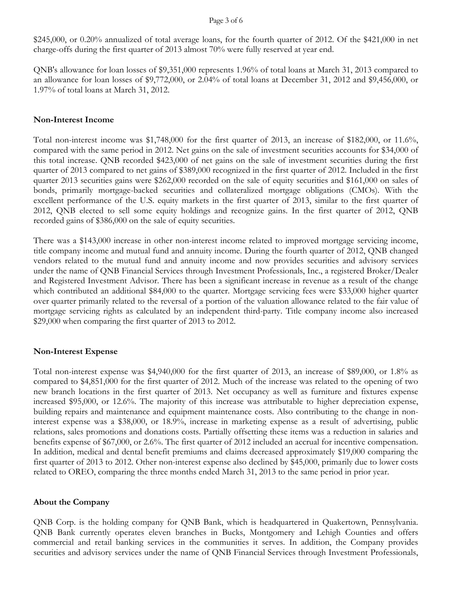#### Page 3 of 6

\$245,000, or 0.20% annualized of total average loans, for the fourth quarter of 2012. Of the \$421,000 in net charge-offs during the first quarter of 2013 almost 70% were fully reserved at year end.

QNB's allowance for loan losses of \$9,351,000 represents 1.96% of total loans at March 31, 2013 compared to an allowance for loan losses of \$9,772,000, or 2.04% of total loans at December 31, 2012 and \$9,456,000, or 1.97% of total loans at March 31, 2012.

#### **Non-Interest Income**

Total non-interest income was \$1,748,000 for the first quarter of 2013, an increase of \$182,000, or 11.6%, compared with the same period in 2012. Net gains on the sale of investment securities accounts for \$34,000 of this total increase. QNB recorded \$423,000 of net gains on the sale of investment securities during the first quarter of 2013 compared to net gains of \$389,000 recognized in the first quarter of 2012. Included in the first quarter 2013 securities gains were \$262,000 recorded on the sale of equity securities and \$161,000 on sales of bonds, primarily mortgage-backed securities and collateralized mortgage obligations (CMOs). With the excellent performance of the U.S. equity markets in the first quarter of 2013, similar to the first quarter of 2012, QNB elected to sell some equity holdings and recognize gains. In the first quarter of 2012, QNB recorded gains of \$386,000 on the sale of equity securities.

There was a \$143,000 increase in other non-interest income related to improved mortgage servicing income, title company income and mutual fund and annuity income. During the fourth quarter of 2012, QNB changed vendors related to the mutual fund and annuity income and now provides securities and advisory services under the name of QNB Financial Services through Investment Professionals, Inc., a registered Broker/Dealer and Registered Investment Advisor. There has been a significant increase in revenue as a result of the change which contributed an additional \$84,000 to the quarter. Mortgage servicing fees were \$33,000 higher quarter over quarter primarily related to the reversal of a portion of the valuation allowance related to the fair value of mortgage servicing rights as calculated by an independent third-party. Title company income also increased \$29,000 when comparing the first quarter of 2013 to 2012.

## **Non-Interest Expense**

Total non-interest expense was \$4,940,000 for the first quarter of 2013, an increase of \$89,000, or 1.8% as compared to \$4,851,000 for the first quarter of 2012. Much of the increase was related to the opening of two new branch locations in the first quarter of 2013. Net occupancy as well as furniture and fixtures expense increased \$95,000, or 12.6%. The majority of this increase was attributable to higher depreciation expense, building repairs and maintenance and equipment maintenance costs. Also contributing to the change in noninterest expense was a \$38,000, or 18.9%, increase in marketing expense as a result of advertising, public relations, sales promotions and donations costs. Partially offsetting these items was a reduction in salaries and benefits expense of \$67,000, or 2.6%. The first quarter of 2012 included an accrual for incentive compensation. In addition, medical and dental benefit premiums and claims decreased approximately \$19,000 comparing the first quarter of 2013 to 2012. Other non-interest expense also declined by \$45,000, primarily due to lower costs related to OREO, comparing the three months ended March 31, 2013 to the same period in prior year.

## **About the Company**

QNB Corp. is the holding company for QNB Bank, which is headquartered in Quakertown, Pennsylvania. QNB Bank currently operates eleven branches in Bucks, Montgomery and Lehigh Counties and offers commercial and retail banking services in the communities it serves. In addition, the Company provides securities and advisory services under the name of QNB Financial Services through Investment Professionals,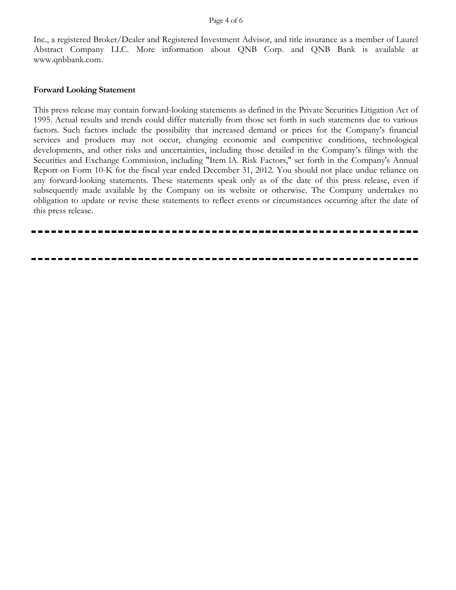#### Page 4 of 6

Inc., a registered Broker/Dealer and Registered Investment Advisor, and title insurance as a member of Laurel Abstract Company LLC. More information about QNB Corp. and QNB Bank is available at www.qnbbank.com.

#### **Forward Looking Statement**

This press release may contain forward-looking statements as defined in the Private Securities Litigation Act of 1995. Actual results and trends could differ materially from those set forth in such statements due to various factors. Such factors include the possibility that increased demand or prices for the Company's financial services and products may not occur, changing economic and competitive conditions, technological developments, and other risks and uncertainties, including those detailed in the Company's filings with the Securities and Exchange Commission, including "Item lA. Risk Factors," set forth in the Company's Annual Report on Form 10-K for the fiscal year ended December 31, 2012. You should not place undue reliance on any forward-looking statements. These statements speak only as of the date of this press release, even if subsequently made available by the Company on its website or otherwise. The Company undertakes no obligation to update or revise these statements to reflect events or circumstances occurring after the date of this press release.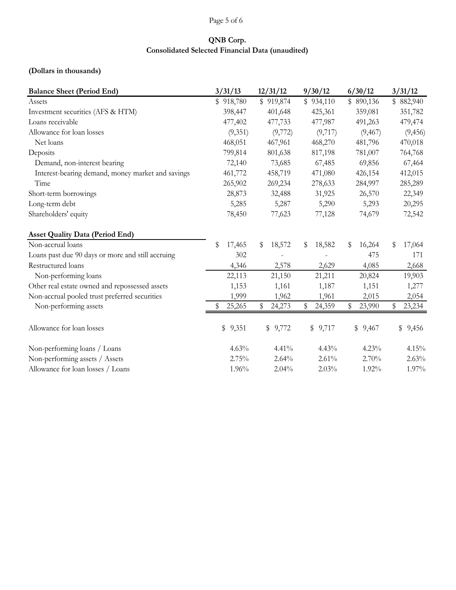# Page 5 of 6

# **QNB Corp. Consolidated Selected Financial Data (unaudited)**

## **(Dollars in thousands)**

| <b>Balance Sheet (Period End)</b>                 | 3/31/13      | 12/31/12     | 9/30/12      | 6/30/12      | 3/31/12      |  |  |
|---------------------------------------------------|--------------|--------------|--------------|--------------|--------------|--|--|
| Assets                                            | \$918,780    | \$919,874    | \$934,110    | \$890,136    | \$882,940    |  |  |
| Investment securities (AFS & HTM)                 | 398,447      | 401,648      | 425,361      | 359,081      | 351,782      |  |  |
| Loans receivable                                  | 477,402      | 477,733      | 477,987      | 491,263      | 479,474      |  |  |
| Allowance for loan losses                         | (9,351)      | (9,772)      | (9,717)      | (9, 467)     | (9, 456)     |  |  |
| Net loans                                         | 468,051      | 467,961      | 468,270      | 481,796      | 470,018      |  |  |
| Deposits                                          | 799,814      | 801,638      | 817,198      | 781,007      | 764,768      |  |  |
| Demand, non-interest bearing                      | 72,140       | 73,685       | 67,485       | 69,856       | 67,464       |  |  |
| Interest-bearing demand, money market and savings | 461,772      | 458,719      | 471,080      | 426,154      | 412,015      |  |  |
| Time                                              | 265,902      | 269,234      | 278,633      | 284,997      | 285,289      |  |  |
| Short-term borrowings                             | 28,873       | 32,488       | 31,925       | 26,570       | 22,349       |  |  |
| Long-term debt                                    | 5,285        | 5,287        | 5,290        | 5,293        | 20,295       |  |  |
| Shareholders' equity                              | 78,450       | 77,623       | 77,128       | 74,679       | 72,542       |  |  |
| <b>Asset Quality Data (Period End)</b>            |              |              |              |              |              |  |  |
| Non-accrual loans                                 | \$<br>17,465 | \$<br>18,572 | 18,582<br>\$ | 16,264<br>\$ | 17,064<br>\$ |  |  |
| Loans past due 90 days or more and still accruing | 302          |              |              | 475          | 171          |  |  |
| Restructured loans                                | 4,346        | 2,578        | 2,629        | 4,085        | 2,668        |  |  |
| Non-performing loans                              | 22,113       | 21,150       | 21,211       | 20,824       | 19,903       |  |  |
| Other real estate owned and repossessed assets    | 1,153        | 1,161        | 1,187        | 1,151        | 1,277        |  |  |
| Non-accrual pooled trust preferred securities     | 1,999        | 1,962        | 1,961        | 2,015        | 2,054        |  |  |
| Non-performing assets                             | 25,265       | \$<br>24,273 | 24,359<br>\$ | 23,990<br>\$ | 23,234<br>\$ |  |  |
| Allowance for loan losses                         | \$9,351      | \$9,772      | \$9,717      | \$<br>9,467  | \$9,456      |  |  |
| Non-performing loans / Loans                      | 4.63%        | 4.41%        | 4.43%        | 4.23%        | 4.15%        |  |  |
| Non-performing assets / Assets                    | 2.75%        | 2.64%        | 2.61%        | 2.70%        | 2.63%        |  |  |
| Allowance for loan losses / Loans                 | 1.96%        | 2.04%        | 2.03%        | 1.92%        | 1.97%        |  |  |